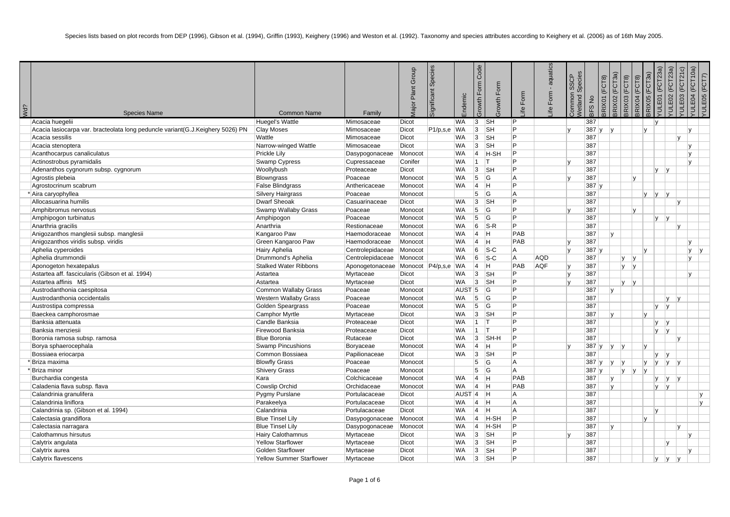| Wd? | <b>Species Name</b>                                                            | <b>Common Name</b>              | Family                              | Group<br>Plant <sup>1</sup><br>Vajor | Species<br>gnificant | ndemic            | Code<br>Form<br>Form<br>owth<br>rowth | Form<br>ڡ | aquatics<br>$\mathbf{r}$<br>Form<br>ڡ | Species<br><b>SSCP</b><br>ommon<br>Vetland | $\frac{1}{2}$<br>3FS | (FCT8)<br>RIX01 | RIX02 (FCT3a)<br>3RIX03 (FCT8) | (FCT8)<br>RIX04 | 3RIX05 (FCT3a) | ୕ଢ଼<br>(FCT23<br>E01<br>$\exists$ | 'ULE02 (FCT23a)<br>/ULE03 (FCT21c) | (FCT10a)<br>E04<br>$\equiv$ | YULE05 (FCT7) |
|-----|--------------------------------------------------------------------------------|---------------------------------|-------------------------------------|--------------------------------------|----------------------|-------------------|---------------------------------------|-----------|---------------------------------------|--------------------------------------------|----------------------|-----------------|--------------------------------|-----------------|----------------|-----------------------------------|------------------------------------|-----------------------------|---------------|
|     | Acacia huegelii                                                                | Huegel's Wattle                 | Mimosaceae                          | Dicot                                |                      | WA                | 3 <br><b>SH</b>                       | P         |                                       |                                            | 387                  |                 |                                |                 |                | IV.                               |                                    |                             |               |
|     | Acacia lasiocarpa var. bracteolata long peduncle variant(G.J.Keighery 5026) PN | <b>Clay Moses</b>               | Mimosaceae                          | Dicot                                | $P1/p,s,e$ WA        |                   | 3<br><b>SH</b>                        | P         |                                       |                                            | 387 y                | l v             |                                |                 | $\mathsf{v}$   |                                   |                                    | lv.                         |               |
|     | Acacia sessilis                                                                | Wattle                          | Mimosaceae                          | Dicot                                |                      | WA                | 3 <br><b>SH</b>                       | P         |                                       |                                            | 387                  |                 |                                |                 |                |                                   | v                                  |                             |               |
|     | Acacia stenoptera                                                              | Narrow-winged Wattle            | Mimosaceae                          | <b>Dicot</b>                         |                      | <b>WA</b>         | 3<br><b>SH</b>                        | Þ         |                                       |                                            | 387                  |                 |                                |                 |                |                                   |                                    | l v                         |               |
|     | Acanthocarpus canaliculatus                                                    | <b>Prickle Lily</b>             | Dasypogonaceae                      | Monocot                              |                      | <b>WA</b>         | $\vert 4 \vert$<br>H-SH               | P         |                                       |                                            | 387                  |                 |                                |                 |                |                                   |                                    | IV.                         |               |
|     | Actinostrobus pyramidalis                                                      | Swamp Cypress                   | Cupressaceae                        | Conifer                              |                      | <b>WA</b>         | $ 1\rangle$<br>İΤ                     | P         |                                       |                                            | 387                  |                 |                                |                 |                |                                   |                                    | $\mathsf{v}$                |               |
|     | Adenanthos cygnorum subsp. cygnorum                                            | Woollybush                      | Proteaceae                          | Dicot                                |                      | <b>WA</b>         | 3 <br><b>SH</b>                       | P         |                                       |                                            | 387                  |                 |                                |                 |                | <b>V</b><br> v                    |                                    |                             |               |
|     | Agrostis plebeia                                                               | <b>Blowngrass</b>               | Poaceae                             | Monocot                              |                      | <b>WA</b>         | 5<br><b>G</b>                         | A         |                                       |                                            | 387                  |                 |                                | Iv.             |                |                                   |                                    |                             |               |
|     | Agrostocrinum scabrum                                                          | <b>False Blindgrass</b>         | Anthericaceae                       | Monocot                              |                      | WA                | $\vert$ 4<br> H                       | P         |                                       |                                            | 387y                 |                 |                                |                 |                |                                   |                                    |                             |               |
|     | <sup>*</sup>  Aira caryophyllea                                                | <b>Silvery Hairgrass</b>        | Poaceae                             | Monocot                              |                      |                   | 5<br><sup>I</sup> G                   | A         |                                       |                                            | 387                  |                 |                                |                 | <b>V</b>       | v <br> v                          |                                    |                             |               |
|     | Allocasuarina humilis                                                          | <b>Dwarf Sheoak</b>             | Casuarinaceae                       | Dicot                                |                      | <b>WA</b>         | 3 <br><b>SH</b>                       | P         |                                       |                                            | 387                  |                 |                                |                 |                |                                   | $\mathbf{v}$                       |                             |               |
|     | Amphibromus nervosus                                                           | Swamp Wallaby Grass             | Poaceae                             | Monocot                              |                      | <b>WA</b>         | 5<br>G                                | Þ         |                                       |                                            | 387                  |                 |                                | IV.             |                |                                   |                                    |                             |               |
|     | Amphipogon turbinatus                                                          | Amphipogon                      | Poaceae                             | Monocot                              |                      | WA                | 5<br>lG.                              | Þ         |                                       |                                            | 387                  |                 |                                |                 |                | <b>y</b><br> v                    |                                    |                             |               |
|     | Anarthria gracilis                                                             | Anarthria                       | Restionaceae                        | Monocot                              |                      | <b>WA</b>         | 6<br>$S-R$                            | P         |                                       |                                            | 387                  |                 |                                |                 |                |                                   | v                                  |                             |               |
|     | Anigozanthos manglesii subsp. manglesii                                        | Kangaroo Paw                    | Haemodoraceae                       | Monocot                              |                      | <b>WA</b>         | $\vert 4 \vert$<br>Iн.                | PAB       |                                       |                                            | 387                  | $\mathbf{v}$    |                                |                 |                |                                   |                                    |                             |               |
|     | Anigozanthos viridis subsp. viridis                                            | Green Kangaroo Paw              | Haemodoraceae                       | Monocot                              |                      | <b>WA</b>         | 4<br>H                                | PAB       |                                       |                                            | 387                  |                 |                                |                 |                |                                   |                                    | lv.                         |               |
|     | Aphelia cyperoides                                                             | Hairy Aphelia                   | Centrolepidaceae                    | Monocot                              |                      | <b>WA</b>         | 6<br>$ S-C$                           | A         |                                       |                                            | 387y                 |                 |                                |                 | $\mathsf{v}$   |                                   |                                    | ly.                         | V             |
|     | Aphelia drummondii                                                             | Drummond's Aphelia              | Centrolepidaceae Monocot            |                                      |                      | <b>WA</b>         | 6<br>$ S-C $                          | A         | <b>AQD</b>                            |                                            | 387                  |                 | lv.                            | V               |                |                                   |                                    | l v                         |               |
|     | Aponogeton hexatepalus                                                         | <b>Stalked Water Ribbons</b>    | Aponogetonaceae Monocot P4/p,s,e WA |                                      |                      |                   | 4<br>IH.                              | PAB       | <b>AQF</b>                            |                                            | 387                  |                 | ly.                            | V               |                |                                   |                                    |                             |               |
|     | Astartea aff. fascicularis (Gibson et al. 1994)                                | Astartea                        | Myrtaceae                           | Dicot                                |                      | WA                | 3 <br><b>SH</b>                       | P         |                                       |                                            | 387                  |                 |                                |                 |                |                                   |                                    | lv.                         |               |
|     | Astartea affinis MS                                                            | Astartea                        | Myrtaceae                           | <b>Dicot</b>                         |                      | <b>WA</b>         | 3 <br><b>SH</b>                       | P         |                                       |                                            | 387                  |                 |                                | $y$ y           |                |                                   |                                    |                             |               |
|     | Austrodanthonia caespitosa                                                     | Common Wallaby Grass            | Poaceae                             | Monocot                              |                      | AUST <sub>5</sub> | <b>G</b>                              | P         |                                       |                                            | 387                  | v.              |                                |                 |                |                                   |                                    |                             |               |
|     | Austrodanthonia occidentalis                                                   | <b>Western Wallaby Grass</b>    | Poaceae                             | Monocot                              |                      | WA                | $\vert 5 \vert$<br> G                 | P         |                                       |                                            | 387                  |                 |                                |                 |                |                                   | lv.<br>IV.                         |                             |               |
|     | Austrostipa compressa                                                          | Golden Speargrass               | Poaceae                             | Monocot                              |                      | <b>WA</b>         | 5<br>lG.                              | P         |                                       |                                            | 387                  |                 |                                |                 |                | V<br> v                           |                                    |                             |               |
|     | Baeckea camphorosmae                                                           | <b>Camphor Myrtle</b>           | Myrtaceae                           | Dicot                                |                      | WA                | 3 <br> SH                             | P         |                                       |                                            | 387                  | v               |                                |                 |                |                                   |                                    |                             |               |
|     | Banksia attenuata                                                              | Candle Banksia                  | Proteaceae                          | Dicot                                |                      | <b>WA</b>         | $ 1\rangle$<br> T                     | Þ         |                                       |                                            | 387                  |                 |                                |                 |                | <b>V</b><br> v                    |                                    |                             |               |
|     | Banksia menziesii                                                              | Firewood Banksia                | Proteaceae                          | Dicot                                |                      | <b>WA</b>         | $\vert$ 1<br> T                       | P         |                                       |                                            | 387                  |                 |                                |                 |                | V<br> V                           |                                    |                             |               |
|     | Boronia ramosa subsp. ramosa                                                   | <b>Blue Boronia</b>             | Rutaceae                            | Dicot                                |                      | <b>WA</b>         | 3 <br>SH-H                            | Þ         |                                       |                                            | 387                  |                 |                                |                 |                |                                   | v                                  |                             |               |
|     | Borya sphaerocephala                                                           | <b>Swamp Pincushions</b>        | Boryaceae                           | Monocot                              |                      | <b>WA</b>         | $\vert$ 4<br>lн.                      | P         |                                       |                                            | 387y                 |                 | V                              |                 |                |                                   |                                    |                             |               |
|     | Bossiaea eriocarpa                                                             | Common Bossiaea                 | Papilionaceae                       | Dicot                                |                      | <b>WA</b>         | 3<br><b>SH</b>                        | P         |                                       |                                            | 387                  |                 |                                |                 |                | v<br> v                           |                                    |                             |               |
|     | Briza maxima                                                                   | <b>Blowfly Grass</b>            | Poaceae                             | Monocot                              |                      |                   | 5<br><b>G</b>                         | A         |                                       |                                            | 387y                 |                 | y                              |                 | Iv.            | y <br> V                          | ۱v                                 |                             |               |
|     | Briza minor                                                                    | <b>Shivery Grass</b>            | Poaceae                             | Monocot                              |                      |                   | 5<br> G                               | A         |                                       |                                            | 387y                 |                 | V                              | V               | V              |                                   |                                    |                             |               |
|     | Burchardia congesta                                                            | Kara                            | Colchicaceae                        | Monocot                              |                      | WA                | $\vert 4 \vert$<br>ΙH.                | PAB       |                                       |                                            | 387                  | v               |                                |                 |                | <b>V</b><br> y                    | V                                  |                             |               |
|     | Caladenia flava subsp. flava                                                   | Cowslip Orchid                  | Orchidaceae                         | Monocot                              |                      | WA                | $\vert 4 \vert$<br> H                 | PAB       |                                       |                                            | 387                  | v               |                                |                 |                | <b>V</b><br> V                    |                                    |                             |               |
|     | Calandrinia granulifera                                                        | Pygmy Purslane                  | Portulacaceae                       | <b>Dicot</b>                         |                      | $AUST$  4  H      |                                       | A         |                                       |                                            | 387                  |                 |                                |                 |                |                                   |                                    |                             | $\mathsf{v}$  |
|     | Calandrinia liniflora                                                          | Parakeelya                      | Portulacaceae                       | Dicot                                |                      | WA                | $\vert 4 \vert$<br>H                  | A         |                                       |                                            | 387                  |                 |                                |                 |                |                                   |                                    |                             | <b>v</b>      |
|     | Calandrinia sp. (Gibson et al. 1994)                                           | Calandrinia                     | Portulacaceae                       | Dicot                                |                      | WA                | $\vert 4 \vert$<br>H                  | A         |                                       |                                            | 387                  |                 |                                |                 |                | v                                 |                                    |                             |               |
|     | Calectasia grandiflora                                                         | <b>Blue Tinsel Lily</b>         | Dasypogonaceae                      | Monocot                              |                      | <b>WA</b>         | $\vert$ 4<br>H-SH                     | Þ         |                                       |                                            | 387                  |                 |                                |                 | lv.            |                                   |                                    |                             |               |
|     | Calectasia narragara                                                           | <b>Blue Tinsel Lily</b>         | Dasypogonaceae                      | Monocot                              |                      | <b>WA</b>         | $ 4\rangle$<br>H-SH                   | P         |                                       |                                            | 387                  | $\mathsf{v}$    |                                |                 |                |                                   | v                                  |                             |               |
|     | Calothamnus hirsutus                                                           | <b>Hairy Calothamnus</b>        | Myrtaceae                           | Dicot                                |                      | <b>WA</b>         | 3<br><b>SH</b>                        | Þ         |                                       |                                            | 387                  |                 |                                |                 |                |                                   |                                    | IV.                         |               |
|     | Calytrix angulata                                                              | <b>Yellow Starflower</b>        | Myrtaceae                           | <b>Dicot</b>                         |                      | <b>WA</b>         | 3 <br><b>SH</b>                       | P         |                                       |                                            | 387                  |                 |                                |                 |                | lv.                               |                                    |                             |               |
|     | Calytrix aurea                                                                 | <b>Golden Starflower</b>        | Myrtaceae                           | Dicot                                |                      | <b>WA</b>         | 3<br><b>SH</b>                        | Þ         |                                       |                                            | 387                  |                 |                                |                 |                |                                   |                                    | lv.                         |               |
|     | Calvtrix flavescens                                                            | <b>Yellow Summer Starflower</b> | Myrtaceae                           | Dicot                                |                      | <b>WA</b>         | 3<br><b>SH</b>                        | Þ         |                                       |                                            | 387                  |                 |                                |                 |                | <b>y</b><br> V                    | lv                                 |                             |               |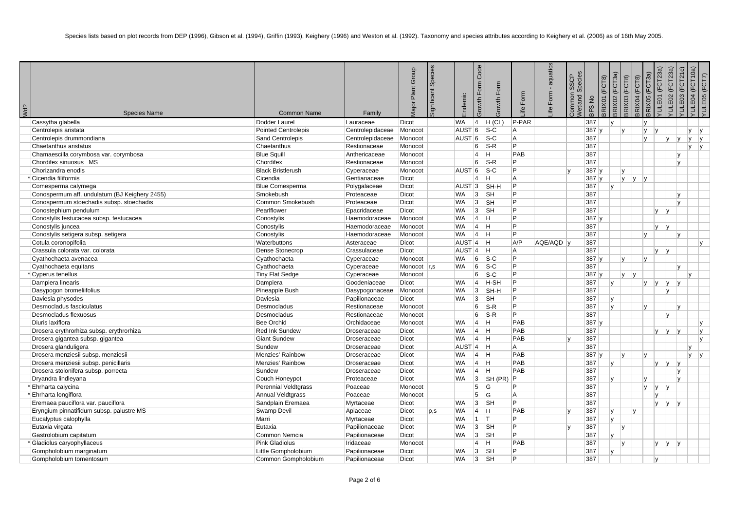| Wd? | <b>Species Name</b>                           | <b>Common Name</b>         | Family           | Plant Group<br>lajor I | Species<br>Significant | Endemic             | Code<br>orm<br>щ<br>Growth | rowth Form                | Form<br>$\overline{e}$ | aquatics<br>ife Form | Species<br>SSCP<br>Common<br>/etland | <b>BFSNo</b> | 3RIX02 (FCT3a)<br>3RIX01 (FCT8) | BRIX03 (FCT8) | <b>BRIX04 (FCT8)</b> | 'ULE01 (FCT23a)<br>$\overline{3a}$<br><b>TOL</b><br>BRIX05 | /ULE02 (FCT23a) | E03 (FCT21c)<br>$\equiv$ | /ULE04 (FCT10a)<br>(FCT7)<br>E05<br>$\overline{a}$ |
|-----|-----------------------------------------------|----------------------------|------------------|------------------------|------------------------|---------------------|----------------------------|---------------------------|------------------------|----------------------|--------------------------------------|--------------|---------------------------------|---------------|----------------------|------------------------------------------------------------|-----------------|--------------------------|----------------------------------------------------|
|     | Cassytha glabella                             | Dodder Laurel              | Lauraceae        | <b>Dicot</b>           |                        | <b>WA</b>           | $\vert 4 \vert$            | $H$ (CL)                  | P-PAR                  |                      |                                      | 387          | $\mathbf{v}$                    |               |                      | l y                                                        |                 |                          |                                                    |
|     | Centrolepis aristata                          | <b>Pointed Centrolepis</b> | Centrolepidaceae | Monocot                |                        | AUST <sup>6</sup>   |                            | $ S-C $                   | A                      |                      |                                      | 387          |                                 | V             |                      | y<br> v                                                    |                 |                          | y <br>lv.                                          |
|     | Centrolepis drummondiana                      | Sand Centrolepis           | Centrolepidaceae | Monocot                |                        | AUST <sub>6</sub>   |                            | $ S-C $                   | A                      |                      |                                      | 387          |                                 |               |                      | V                                                          | <b>y</b>        | y                        | l V<br> y                                          |
|     | Chaetanthus aristatus                         | Chaetanthus                | Restionaceae     | Monocot                |                        |                     | 6                          | $S-R$                     | P.                     |                      |                                      | 387          |                                 |               |                      |                                                            |                 |                          | $\mathsf{v}$<br> V                                 |
|     | Chamaescilla corymbosa var. corymbosa         | <b>Blue Squill</b>         | Anthericaceae    | Monocot                |                        |                     | 4                          | H                         | PAB                    |                      |                                      | 387          |                                 |               |                      |                                                            |                 | ١v                       |                                                    |
|     | Chordifex sinuosus MS                         | Chordifex                  | Restionaceae     | Monocot                |                        |                     | 6                          | $S-R$                     | P.                     |                      |                                      | 387          |                                 |               |                      |                                                            |                 | lv.                      |                                                    |
|     | Chorizandra enodis                            | <b>Black Bristlerush</b>   | Cyperaceae       | Monocot                |                        | $AUST$ 6            |                            | $ S-C $                   | P                      |                      |                                      | 387 y        |                                 | v             |                      |                                                            |                 |                          |                                                    |
|     | <sup>*</sup> Cicendia filiformis              | Cicendia                   | Gentianaceae     | Dicot                  |                        |                     | 4                          | H.                        | A                      |                      |                                      | 387 y        |                                 |               | $ y $ $ y $          |                                                            |                 |                          |                                                    |
|     | Comesperma calymega                           | <b>Blue Comesperma</b>     | Polygalaceae     | Dicot                  |                        | AUST 3              |                            | SH-H                      | P                      |                      |                                      | 387          | IV.                             |               |                      |                                                            |                 |                          |                                                    |
|     | Conospermum aff. undulatum (BJ Keighery 2455) | Smokebush                  | Proteaceae       | Dicot                  |                        | <b>WA</b>           | 3                          | <b>SH</b>                 | P                      |                      |                                      | 387          |                                 |               |                      |                                                            |                 | IV.                      |                                                    |
|     | Conospermum stoechadis subsp. stoechadis      | Common Smokebush           | Proteaceae       | Dicot                  |                        | <b>WA</b>           | 3                          | <b>SH</b>                 | Þ                      |                      |                                      | 387          |                                 |               |                      |                                                            |                 | IV.                      |                                                    |
|     | Conostephium pendulum                         | Pearlflower                | Epacridaceae     | Dicot                  |                        | <b>WA</b>           | 3                          | <b>SH</b>                 | P                      |                      |                                      | 387          |                                 |               |                      |                                                            | $ v $ $ v $     |                          |                                                    |
|     | Conostylis festucacea subsp. festucacea       | Conostylis                 | Haemodoraceae    | Monocot                |                        | <b>WA</b>           | $\vert$ 4                  | H                         | Þ                      |                      |                                      | 387 y        |                                 |               |                      |                                                            |                 |                          |                                                    |
|     | Conostylis juncea                             | Conostylis                 | Haemodoraceae    | Monocot                |                        | <b>WA</b>           | $ 4 $ H                    |                           | Þ                      |                      |                                      | 387          |                                 |               |                      |                                                            | $V$ $V$         |                          |                                                    |
|     | Conostylis setigera subsp. setigera           | Conostylis                 | Haemodoraceae    | Monocot                |                        | <b>WA</b>           | $ 4 $ H                    |                           | Þ                      |                      |                                      | 387          |                                 |               |                      | Iv.                                                        |                 | $\mathsf{v}$             |                                                    |
|     | Cotula coronopifolia                          | Waterbuttons               | Asteraceae       | Dicot                  |                        | AUST <sub>4</sub> H |                            |                           | A/P                    | AQE/AQD              |                                      | 387          |                                 |               |                      |                                                            |                 |                          | l V                                                |
|     | Crassula colorata var. colorata               | Dense Stonecrop            | Crassulaceae     | Dicot                  |                        | AUST <sub>4</sub>   |                            | H                         | A                      |                      |                                      | 387          |                                 |               |                      |                                                            | $ v $ $ v $     |                          |                                                    |
|     | Cyathochaeta avenacea                         | Cyathochaeta               | Cyperaceae       | Monocot                |                        | <b>WA</b>           | 6                          | $ S-C $                   | P                      |                      |                                      | 387 y        |                                 | V             |                      | ly.                                                        |                 |                          |                                                    |
|     | Cyathochaeta equitans                         | Cyathochaeta               | Cyperaceae       | Monocot r.s            |                        | WA                  | 6                          | $S-C$                     | Þ                      |                      |                                      | 387          |                                 |               |                      |                                                            |                 | ۱v                       |                                                    |
|     | <sup>*</sup> Cyperus tenellus                 | <b>Tiny Flat Sedge</b>     | Cyperaceae       | Monocot                |                        |                     | 6                          | $ S-C $                   | Þ                      |                      |                                      | 387y         |                                 | V             | v                    |                                                            |                 |                          | $\mathsf{v}$                                       |
|     | Dampiera linearis                             | Dampiera                   | Goodeniaceae     | Dicot                  |                        | <b>WA</b>           | $\vert$ 4                  | H-SH                      | Þ                      |                      |                                      | 387          | v                               |               |                      | ly.<br> V                                                  | ly.             | V                        |                                                    |
|     | Dasypogon bromeliifolius                      | Pineapple Bush             | Dasypogonaceae   | Monocot                |                        | <b>WA</b>           | 3                          | SH-H                      | Þ                      |                      |                                      | 387          |                                 |               |                      |                                                            | V               |                          |                                                    |
|     | Daviesia physodes                             | Daviesia                   | Papilionaceae    | Dicot                  |                        | <b>WA</b>           | 3                          | <b>SH</b>                 | Þ                      |                      |                                      | 387          | ly.                             |               |                      |                                                            |                 |                          |                                                    |
|     | Desmocladus fasciculatus                      | Desmocladus                | Restionaceae     | Monocot                |                        |                     | 6                          | $S-R$                     | P                      |                      |                                      | 387          | V                               |               |                      | ly.                                                        |                 | ۱v                       |                                                    |
|     | Desmocladus flexuosus                         | Desmocladus                | Restionaceae     | Monocot                |                        |                     | 6                          | $ S-R $                   | Þ                      |                      |                                      | 387          |                                 |               |                      |                                                            | v               |                          |                                                    |
|     | Diuris laxiflora                              | <b>Bee Orchid</b>          | Orchidaceae      | Monocot                |                        | <b>WA</b>           | $ 4\rangle$                | <b>H</b>                  | PAB                    |                      |                                      | 387y         |                                 |               |                      |                                                            |                 |                          | y                                                  |
|     | Drosera erythrorhiza subsp. erythrorhiza      | <b>Red Ink Sundew</b>      | Droseraceae      | Dicot                  |                        | <b>WA</b>           | $\vert$ 4                  | H                         | PAB                    |                      |                                      | 387          |                                 |               |                      |                                                            | $y \mid y$      | V                        | l y                                                |
|     | Drosera gigantea subsp. gigantea              | <b>Giant Sundew</b>        | Droseraceae      | Dicot                  |                        | <b>WA</b>           | $\vert 4 \vert$ H          |                           | PAB                    |                      |                                      | 387          |                                 |               |                      |                                                            |                 |                          | v                                                  |
|     | Drosera glanduligera                          | Sundew                     | Droseraceae      | Dicot                  |                        | $AUST$  4  H        |                            |                           | A                      |                      |                                      | 387          |                                 |               |                      |                                                            |                 |                          |                                                    |
|     | Drosera menziesii subsp. menziesii            | Menzies' Rainbow           | Droseraceae      | Dicot                  |                        | <b>WA</b>           | $ 4 $ H                    |                           | PAB                    |                      |                                      | 387y         |                                 | V             |                      | $\mathsf{v}$                                               |                 |                          | v<br> y                                            |
|     | Drosera menziesii subsp. penicillaris         | <b>Menzies' Rainbow</b>    | Droseraceae      | Dicot                  |                        | <b>WA</b>           | $\vert$ 4                  | H                         | PAB                    |                      |                                      | 387          | $\mathsf{v}$                    |               |                      | $\mathsf{v}$                                               | V               | IV.                      |                                                    |
|     | Drosera stolonifera subsp. porrecta           | Sundew                     | Droseraceae      | Dicot                  |                        | <b>WA</b>           | $\vert 4 \vert$            | -lH                       | PAB                    |                      |                                      | 387          |                                 |               |                      |                                                            |                 | ١v                       |                                                    |
|     | Dryandra lindleyana                           | Couch Honeypot             | Proteaceae       | Dicot                  |                        | <b>WA</b>           | 3                          | SH(PR)                    | $\mathsf{P}$           |                      |                                      | 387          | v                               |               |                      | V                                                          |                 | IV.                      |                                                    |
|     | Ehrharta calycina                             | Perennial Veldtgrass       | Poaceae          | Monocot                |                        |                     | 5                          | <b>G</b>                  | P                      |                      |                                      | 387          |                                 |               |                      | V<br> V                                                    | $\mathbf v$     |                          |                                                    |
|     | * Ehrharta longiflora                         | Annual Veldtgrass          | Poaceae          | Monocot                |                        |                     | 5                          | <sup> </sup> G            | A                      |                      |                                      | 387          |                                 |               |                      | ۱v                                                         |                 |                          |                                                    |
|     | Eremaea pauciflora var. pauciflora            | Sandplain Eremaea          | Myrtaceae        | Dicot                  |                        | <b>WA</b>           | 3                          | <b>SH</b>                 | Þ                      |                      |                                      | 387          |                                 |               |                      | V                                                          | V               | V                        |                                                    |
|     | Eryngium pinnatifidum subsp. palustre MS      | Swamp Devil                | Apiaceae         | Dicot                  | p, s                   | <b>WA</b>           | $\vert$ 4                  | -lH                       | PAB                    |                      |                                      | 387          | v                               |               | lv.                  |                                                            |                 |                          |                                                    |
|     | Eucalyptus calophylla                         | Marri                      | Myrtaceae        | Dicot                  |                        | <b>WA</b>           | $1$ T                      |                           | Þ                      |                      |                                      | 387          | v                               |               |                      |                                                            |                 |                          |                                                    |
|     | Eutaxia virgata                               | Eutaxia                    | Papilionaceae    | Dicot                  |                        | <b>WA</b>           | 3                          | $\overline{\mathsf{S}}$ H | $\overline{P}$         |                      |                                      | 387          |                                 | V             |                      |                                                            |                 |                          |                                                    |
|     | Gastrolobium capitatum                        | Common Nemcia              | Papilionaceae    | Dicot                  |                        | <b>WA</b>           | 3                          | <b>SH</b>                 | P                      |                      |                                      | 387          | $\mathbf{v}$                    |               |                      |                                                            |                 |                          |                                                    |
|     | Gladiolus caryophyllaceus                     | <b>Pink Gladiolus</b>      | Iridaceae        | Monocot                |                        |                     | $\overline{4}$             | H                         | PAB                    |                      |                                      | 387          |                                 | V             |                      |                                                            | y               | V                        |                                                    |
|     | Gompholobium marginatum                       | Little Gompholobium        | Papilionaceae    | Dicot                  |                        | <b>WA</b>           | 3                          | <b>SH</b>                 | Þ                      |                      |                                      | 387          | $\mathsf{v}$                    |               |                      |                                                            |                 |                          |                                                    |
|     | Gompholobium tomentosum                       | Common Gompholobium        | Papilionaceae    | Dicot                  |                        | <b>WA</b>           | 3                          | <b>SH</b>                 | D                      |                      |                                      | 387          |                                 |               |                      | lv.                                                        |                 |                          |                                                    |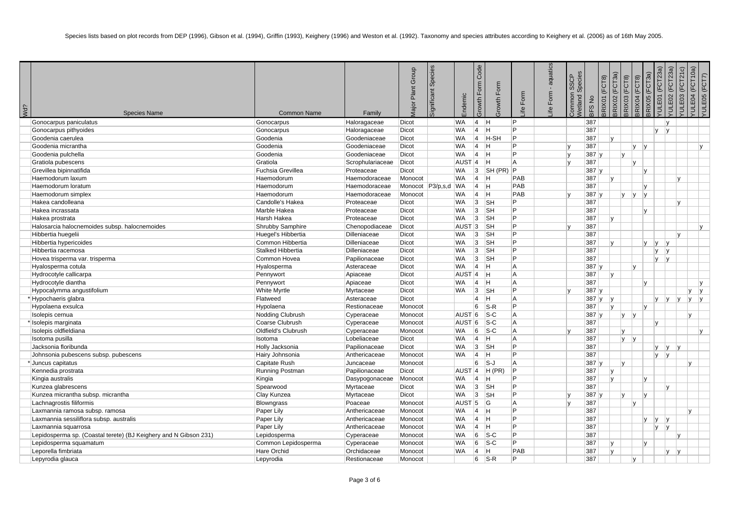| Wd? | <b>Species Name</b>                                              | <b>Common Name</b>  | Family           | <b>Aajor Plant Group</b> | Species<br>Significant | Endemic             | Code<br><b>Grm</b><br>LĹ<br>Growth | Form<br>rowth             | Form<br>e.     | aquatics<br>$\mathbf{r}$<br>Form<br>₫. | Species<br><b>SSCP</b><br>Common<br>Vetland S | $\stackrel{\mathtt{o}}{z}$<br>3FS | FCT8)<br>RIX01 | BRIX02 (FCT3a) | 3RIX03 (FCT8) | 3RIX05 (FCT3a)<br>(FCT8)<br>BRIX04 | (FCT23a)<br>E<br>Ē | E02 (FCT23a)<br>Η | (FCT21c)<br>E03<br>$\overline{5}$ | E04 (FCT10a)<br>YULE05 (FCT7)<br>È, |  |
|-----|------------------------------------------------------------------|---------------------|------------------|--------------------------|------------------------|---------------------|------------------------------------|---------------------------|----------------|----------------------------------------|-----------------------------------------------|-----------------------------------|----------------|----------------|---------------|------------------------------------|--------------------|-------------------|-----------------------------------|-------------------------------------|--|
|     | Gonocarpus paniculatus                                           | Gonocarpus          | Haloragaceae     | Dicot                    |                        | <b>WA</b>           | $\vert$ 4                          | <b>H</b>                  | P              |                                        |                                               | 387                               |                |                |               |                                    |                    | v                 |                                   |                                     |  |
|     | Gonocarpus pithyoides                                            | Gonocarpus          | Haloragaceae     | Dicot                    |                        | <b>WA</b>           | $\vert 4 \vert$                    | H                         | Þ              |                                        |                                               | 387                               |                |                |               |                                    | V                  | V                 |                                   |                                     |  |
|     | Goodenia caerulea                                                | Goodenia            | Goodeniaceae     | <b>Dicot</b>             |                        | <b>WA</b>           | $\vert$ 4                          | H-SH                      | P              |                                        |                                               | 387                               | $\mathsf{v}$   |                |               |                                    |                    |                   |                                   |                                     |  |
|     | Goodenia micrantha                                               | Goodenia            | Goodeniaceae     | Dicot                    |                        | <b>WA</b>           | 4                                  | H                         | Þ              |                                        |                                               | 387                               |                |                | Iv.           | V                                  |                    |                   |                                   | <b>v</b>                            |  |
|     | Goodenia pulchella                                               | Goodenia            | Goodeniaceae     | Dicot                    |                        | <b>WA</b>           | 4                                  | H                         | P              |                                        | $\mathbf{v}$                                  | 387 y                             |                | M              |               |                                    |                    |                   |                                   |                                     |  |
|     | Gratiola pubescens                                               | Gratiola            | Scrophulariaceae | Dicot                    |                        | AUST <sub>4</sub>   |                                    | -lH                       | A              |                                        |                                               | 387                               |                |                | $\mathsf{v}$  |                                    |                    |                   |                                   |                                     |  |
|     | Grevillea bipinnatifida                                          | Fuchsia Grevillea   | Proteaceae       | Dicot                    |                        | <b>WA</b>           | 3                                  | SH(PR)                    | Þ              |                                        |                                               | 387y                              |                |                |               | $\mathsf{v}$                       |                    |                   |                                   |                                     |  |
|     | Haemodorum laxum                                                 | Haemodorum          | Haemodoraceae    | Monocot                  |                        | <b>WA</b>           | 4                                  | H                         | PAB            |                                        |                                               | 387                               | lv.            |                |               |                                    |                    |                   | v                                 |                                     |  |
|     | Haemodorum loratum                                               | Haemodorum          | Haemodoraceae    | Monocot P3/p,s,d WA      |                        |                     | 4                                  | <b>H</b>                  | PAB            |                                        |                                               | 387                               |                |                |               | $\mathsf{v}$                       |                    |                   |                                   |                                     |  |
|     | Haemodorum simplex                                               | Haemodorum          | Haemodoraceae    | Monocot                  |                        | <b>WA</b>           | 4                                  | H                         | PAB            |                                        |                                               | 387 y                             |                | IV.            | y             | $\mathsf{V}$                       |                    |                   |                                   |                                     |  |
|     | Hakea candolleana                                                | Candolle's Hakea    | Proteaceae       | Dicot                    |                        | <b>WA</b>           | 3                                  | $\overline{\mathsf{S}}$ H | P              |                                        |                                               | 387                               |                |                |               |                                    |                    |                   | v                                 |                                     |  |
|     | Hakea incrassata                                                 | Marble Hakea        | Proteaceae       | <b>Dicot</b>             |                        | <b>WA</b>           | 3                                  | <b>SH</b>                 | Þ              |                                        |                                               | 387                               |                |                |               | v                                  |                    |                   |                                   |                                     |  |
|     | Hakea prostrata                                                  | Harsh Hakea         | Proteaceae       | <b>Dicot</b>             |                        | <b>WA</b>           | 3                                  | <b>SH</b>                 | $\overline{P}$ |                                        |                                               | 387                               | v              |                |               |                                    |                    |                   |                                   |                                     |  |
|     | Halosarcia halocnemoides subsp. halocnemoides                    | Shrubby Samphire    | Chenopodiaceae   | Dicot                    |                        | $AUST$ 3            |                                    | <b>SH</b>                 | P              |                                        |                                               | 387                               |                |                |               |                                    |                    |                   |                                   | V                                   |  |
|     | Hibbertia huegelii                                               | Huegel's Hibbertia  | Dilleniaceae     | Dicot                    |                        | WA                  | 3                                  | <b>SH</b>                 | Þ              |                                        |                                               | 387                               |                |                |               |                                    |                    |                   | v                                 |                                     |  |
|     | Hibbertia hypericoides                                           | Common Hibbertia    | Dilleniaceae     | Dicot                    |                        | <b>WA</b>           | 3                                  | <b>SH</b>                 | P              |                                        |                                               | 387                               | V.             |                |               | $\mathsf{v}$                       | V                  | $\mathsf{v}$      |                                   |                                     |  |
|     | Hibbertia racemosa                                               | Stalked Hibbertia   | Dilleniaceae     | Dicot                    |                        | <b>WA</b>           | 3                                  | <b>SH</b>                 | P              |                                        |                                               | 387                               |                |                |               |                                    | <b>y</b>           | v                 |                                   |                                     |  |
|     | Hovea trisperma var. trisperma                                   | Common Hovea        | Papilionaceae    | Dicot                    |                        | <b>WA</b>           | 3                                  | <b>SH</b>                 | Þ              |                                        |                                               | 387                               |                |                |               |                                    | <b>v</b>           | v                 |                                   |                                     |  |
|     | Hyalosperma cotula                                               | Hyalosperma         | Asteraceae       | <b>Dicot</b>             |                        | <b>WA</b>           | $\vert 4 \vert$                    | IH.                       | A              |                                        |                                               | 387                               |                |                | $\mathsf{v}$  |                                    |                    |                   |                                   |                                     |  |
|     | Hydrocotyle callicarpa                                           | Pennywort           | Apiaceae         | Dicot                    |                        | $AUST$ <sup>4</sup> |                                    | H.                        | A              |                                        |                                               | 387                               | v              |                |               |                                    |                    |                   |                                   |                                     |  |
|     | Hydrocotyle diantha                                              | Pennywort           | Apiaceae         | <b>Dicot</b>             |                        | <b>WA</b>           | $\vert 4 \vert$                    | lн.                       | A              |                                        |                                               | 387                               |                |                |               | $\mathsf{v}$                       |                    |                   |                                   | <b>V</b>                            |  |
|     | Hypocalymma angustifolium                                        | <b>White Myrtle</b> | Myrtaceae        | <b>Dicot</b>             |                        | <b>WA</b>           | 3                                  | $\overline{\mathsf{S}}$ H | Þ              |                                        |                                               | 387 y                             |                |                |               |                                    |                    |                   | lv.                               | lv.                                 |  |
|     | Hypochaeris glabra                                               | Flatweed            | Asteraceae       | Dicot                    |                        |                     | 4                                  | H.                        | A              |                                        |                                               | 387 y                             | V              |                |               |                                    | V                  | y                 | ly.<br> V                         | lv.                                 |  |
|     | Hypolaena exsulca                                                | Hypolaena           | Restionaceae     | Monocot                  |                        |                     | 6                                  | $\mathsf{S-R}$            | Þ              |                                        |                                               | 387                               | $\mathsf{v}$   |                |               | $\mathsf{v}$                       |                    |                   |                                   |                                     |  |
|     | Isolepis cernua                                                  | Nodding Clubrush    | Cyperaceae       | Monocot                  |                        | AUST <sub>6</sub>   |                                    | $ S-C$                    | A              |                                        |                                               | 387 y                             |                | ly.            | V             |                                    |                    |                   | lv.                               |                                     |  |
|     | Isolepis marginata                                               | Coarse Clubrush     | Cyperaceae       | Monocot                  |                        | $AUST$ 6            |                                    | $ S-C$                    | A              |                                        |                                               | 387                               |                |                |               |                                    | $\mathsf{v}$       |                   |                                   |                                     |  |
|     | Isolepis oldfieldiana                                            | Oldfield's Clubrush | Cyperaceae       | Monocot                  |                        | WA                  | 6                                  | $ S-C$                    | A              |                                        |                                               | 387                               |                | lv.            |               |                                    |                    |                   |                                   | v                                   |  |
|     | Isotoma pusilla                                                  | Isotoma             | Lobeliaceae      | Dicot                    |                        | <b>WA</b>           | $\vert 4 \vert$                    | H.                        | A              |                                        |                                               | 387                               |                |                | y             |                                    |                    |                   |                                   |                                     |  |
|     | Jacksonia floribunda                                             | Holly Jacksonia     | Papilionaceae    | Dicot                    |                        | <b>WA</b>           | 3                                  | <b>SH</b>                 | $\overline{P}$ |                                        |                                               | 387                               |                |                |               |                                    |                    | $y \mid y \mid y$ |                                   |                                     |  |
|     | Johnsonia pubescens subsp. pubescens                             | Hairy Johnsonia     | Anthericaceae    | Monocot                  |                        | <b>WA</b>           | 4                                  | H                         | Þ              |                                        |                                               | 387                               |                |                |               |                                    | $ v $ $ v $        |                   |                                   |                                     |  |
|     | Uuncus capitatus                                                 | Capitate Rush       | Juncaceae        | Monocot                  |                        |                     | 6                                  | S-J                       | A              |                                        |                                               | 387                               |                | lv.            |               |                                    |                    |                   | lv.                               |                                     |  |
|     | Kennedia prostrata                                               | Running Postman     | Papilionaceae    | Dicot                    |                        | $AUST$ <sup>4</sup> |                                    | $H$ (PR)                  | P              |                                        |                                               | 387                               | v              |                |               |                                    |                    |                   |                                   |                                     |  |
|     | Kingia australis                                                 | Kingia              | Dasypogonaceae   | Monocot                  |                        | <b>WA</b>           | $\vert 4 \vert$                    | H                         | Þ              |                                        |                                               | 387                               | IV.            |                |               | IV.                                |                    |                   |                                   |                                     |  |
|     | Kunzea glabrescens                                               | Spearwood           | Myrtaceae        | <b>Dicot</b>             |                        | <b>WA</b>           | 3                                  | <b>SH</b>                 | P              |                                        |                                               | 387                               |                |                |               |                                    |                    | lv.               |                                   |                                     |  |
|     | Kunzea micrantha subsp. micrantha                                | Clay Kunzea         | Myrtaceae        | <b>Dicot</b>             |                        | <b>WA</b>           | 3                                  | <b>SH</b>                 | P              |                                        |                                               | 387 y                             |                | v              |               | v                                  |                    |                   |                                   |                                     |  |
|     | Lachnagrostis filiformis                                         | Blowngrass          | Poaceae          | Monocot                  |                        | AUST $ 5 $          |                                    | G                         | A              |                                        |                                               | 387                               |                |                | $\mathsf{v}$  |                                    |                    |                   |                                   |                                     |  |
|     | Laxmannia ramosa subsp. ramosa                                   | Paper Lily          | Anthericaceae    | Monocot                  |                        | WA                  | $\vert 4 \vert$                    | H.                        | P              |                                        |                                               | 387                               |                |                |               |                                    |                    |                   | lv.                               |                                     |  |
|     | Laxmannia sessiliflora subsp. australis                          | Paper Lily          | Anthericaceae    | Monocot                  |                        | <b>WA</b>           | 4                                  | IH.                       | P              |                                        |                                               | 387                               |                |                |               | <b>V</b>                           | y                  | V                 |                                   |                                     |  |
|     | Laxmannia squarrosa                                              | Paper Lily          | Anthericaceae    | Monocot                  |                        | <b>WA</b>           | $\vert 4 \vert$                    | IH.                       | P              |                                        |                                               | 387                               |                |                |               |                                    | V                  | V                 |                                   |                                     |  |
|     | Lepidosperma sp. (Coastal terete) (BJ Keighery and N Gibson 231) | Lepidosperma        | Cyperaceae       | Monocot                  |                        | <b>WA</b>           | 6                                  | $ S-C$                    | Þ              |                                        |                                               | 387                               |                |                |               |                                    |                    |                   | V                                 |                                     |  |
|     | Lepidosperma squamatum                                           | Common Lepidosperma | Cyperaceae       | Monocot                  |                        | <b>WA</b>           | 6                                  | $ S-C$                    | P              |                                        |                                               | 387                               | <b>V</b>       |                |               | v                                  |                    |                   |                                   |                                     |  |
|     | Leporella fimbriata                                              | Hare Orchid         | Orchidaceae      | Monocot                  |                        | <b>WA</b>           | 4                                  | H.                        | PAB            |                                        |                                               | 387                               | lv.            |                |               |                                    |                    | Iv.               | lv                                |                                     |  |
|     | Lepyrodia glauca                                                 | Lepyrodia           | Restionaceae     | Monocot                  |                        |                     | 6                                  | $ S-R$                    | Þ              |                                        |                                               | 387                               |                |                | lv.           |                                    |                    |                   |                                   |                                     |  |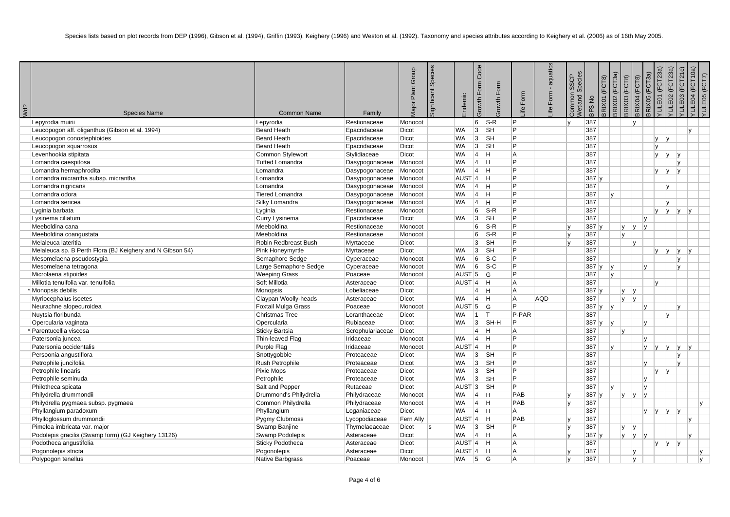| Wd? | <b>Species Name</b>                                       | <b>Common Name</b>      | Family           | <b>Aajor Plant Group</b> | Species<br>ignificant | Endemic             | Code<br>Form<br>Form<br><b>UMO</b> .<br>Growth | Form<br>$\oplus$ | aquatics<br>$\mathbf{r}$<br>Form<br>₫. | Species<br><b>SSCP</b><br>Common<br>Vetland S | $\stackrel{\mathtt{o}}{z}$<br>3FS | BRIX02 (FCT3a)<br>FCT8)<br>RIX01 | 3RIX03 (FCT8) | (FCT8)<br>BRIX04 | 3RIX05 (FCT3a) | (FCT23a)<br>E01<br>Ē | E02 (FCT23a)<br>/ULE03 (FCT21c)<br>ミ | E04 (FCT10a)<br>$\equiv$ | /ULE05 (FCT7) |
|-----|-----------------------------------------------------------|-------------------------|------------------|--------------------------|-----------------------|---------------------|------------------------------------------------|------------------|----------------------------------------|-----------------------------------------------|-----------------------------------|----------------------------------|---------------|------------------|----------------|----------------------|--------------------------------------|--------------------------|---------------|
|     | Lepyrodia muirii                                          | Lepyrodia               | Restionaceae     | Monocot                  |                       |                     | 6<br>$S-R$                                     | P.               |                                        | lv.                                           | 387                               |                                  |               | V                |                |                      |                                      |                          |               |
|     | Leucopogon aff. oliganthus (Gibson et al. 1994)           | <b>Beard Heath</b>      | Epacridaceae     | Dicot                    |                       | <b>WA</b>           | 3 <br><b>SH</b>                                | P                |                                        |                                               | 387                               |                                  |               |                  |                |                      |                                      | $\mathsf{v}$             |               |
|     | Leucopogon conostephioides                                | <b>Beard Heath</b>      | Epacridaceae     | <b>Dicot</b>             |                       | <b>WA</b>           | 3 <br><b>SH</b>                                | Þ                |                                        |                                               | 387                               |                                  |               |                  |                | <b>V</b><br> v       |                                      |                          |               |
|     | Leucopogon squarrosus                                     | <b>Beard Heath</b>      | Epacridaceae     | Dicot                    |                       | <b>WA</b>           | 3<br><b>SH</b>                                 | P                |                                        |                                               | 387                               |                                  |               |                  |                | V                    |                                      |                          |               |
|     | Levenhookia stipitata                                     | Common Stylewort        | Stylidiaceae     | Dicot                    |                       | <b>WA</b>           | $\vert 4 \vert$<br>IH.                         | A                |                                        |                                               | 387                               |                                  |               |                  |                | <b>y</b><br> V       | lv                                   |                          |               |
|     | Lomandra caespitosa                                       | <b>Tufted Lomandra</b>  | Dasypogonaceae   | Monocot                  |                       | <b>WA</b>           | $\vert$ 4<br><b>H</b>                          | Þ                |                                        |                                               | 387                               |                                  |               |                  |                |                      |                                      |                          |               |
|     | Lomandra hermaphrodita                                    | Lomandra                | Dasypogonaceae   | Monocot                  |                       | WA                  | $\vert 4 \vert$<br><b>H</b>                    | Þ                |                                        |                                               | 387                               |                                  |               |                  |                | <b>V</b><br> V       | $\mathsf{v}$                         |                          |               |
|     | Lomandra micrantha subsp. micrantha                       | Lomandra                | Dasypogonaceae   | Monocot                  |                       | $AUST$ <sup>4</sup> | Iн.                                            | P                |                                        |                                               | 387 y                             |                                  |               |                  |                |                      |                                      |                          |               |
|     | Lomandra nigricans                                        | Lomandra                | Dasypogonaceae   | Monocot                  |                       | WA                  | $\vert 4 \vert$<br>H                           | P                |                                        |                                               | 387                               |                                  |               |                  |                | IV.                  |                                      |                          |               |
|     | Lomandra odora                                            | Tiered Lomandra         | Dasypogonaceae   | Monocot                  |                       | <b>WA</b>           | 4<br>Iн.                                       | Þ                |                                        |                                               | 387                               | v                                |               |                  |                |                      |                                      |                          |               |
|     | Lomandra sericea                                          | Silky Lomandra          | Dasypogonaceae   | Monocot                  |                       | WA                  | $\vert$ 4<br>IH.                               | Þ                |                                        |                                               | 387                               |                                  |               |                  |                | Iv.                  |                                      |                          |               |
|     | Lyginia barbata                                           | Lyginia                 | Restionaceae     | Monocot                  |                       |                     | 6<br>$ S-R$                                    | Þ                |                                        |                                               | 387                               |                                  |               |                  |                | <b>V</b>             | y                                    | y                        |               |
|     | Lysinema ciliatum                                         | Curry Lysinema          | Epacridaceae     | <b>Dicot</b>             |                       | <b>WA</b>           | 3 <br><b>SH</b>                                | Þ                |                                        |                                               | 387                               |                                  |               |                  | $\mathsf{v}$   |                      |                                      |                          |               |
|     | Meeboldina cana                                           | Meeboldina              | Restionaceae     | Monocot                  |                       |                     | 6<br>$S-R$                                     | P                |                                        |                                               | 387y                              |                                  | ly.           | y                | $\mathsf{V}$   |                      |                                      |                          |               |
|     | Meeboldina coangustata                                    | Meeboldina              | Restionaceae     | Monocot                  |                       |                     | 6<br>$S-R$                                     | P                |                                        | $\mathsf{v}$                                  | 387                               |                                  | lv.           |                  |                |                      |                                      |                          |               |
|     | Melaleuca lateritia                                       | Robin Redbreast Bush    | Myrtaceae        | <b>Dicot</b>             |                       |                     | 3<br><b>SH</b>                                 | Þ                |                                        |                                               | 387                               |                                  |               | Iv.              |                |                      |                                      |                          |               |
|     | Melaleuca sp. B Perth Flora (BJ Keighery and N Gibson 54) | Pink Honeymyrtle        | Myrtaceae        | Dicot                    |                       | <b>WA</b>           | 3 <br><b>SH</b>                                | Þ                |                                        |                                               | 387                               |                                  |               |                  |                | <b>v</b><br> V       | y                                    | $\mathsf{V}$             |               |
|     | Mesomelaena pseudostygia                                  | Semaphore Sedge         | Cyperaceae       | Monocot                  |                       | WA                  | 6<br>$ S-C$                                    | P                |                                        |                                               | 387                               |                                  |               |                  |                |                      | $\mathsf{v}$                         |                          |               |
|     | Mesomelaena tetragona                                     | Large Semaphore Sedge   | Cyperaceae       | Monocot                  |                       | WA                  | 6<br>$ S-C$                                    | Þ                |                                        |                                               | 387 y                             | Iv.                              |               |                  | $\mathsf{v}$   |                      | v                                    |                          |               |
|     | Microlaena stipoides                                      | <b>Weeping Grass</b>    | Poaceae          | Monocot                  |                       | AUST <sub>5</sub>   | lG.                                            | Þ                |                                        |                                               | 387                               | v                                |               |                  |                |                      |                                      |                          |               |
|     | Millotia tenuifolia var. tenuifolia                       | Soft Millotia           | Asteraceae       | Dicot                    |                       | AUST <sup>4</sup>   | Iн.                                            | A                |                                        |                                               | 387                               |                                  |               |                  | $\mathsf{v}$   |                      |                                      |                          |               |
|     | * Monopsis debilis                                        | Monopsis                | Lobeliaceae      | Dicot                    |                       |                     | $\overline{4}$<br><b>H</b>                     | A                |                                        |                                               | 387y                              |                                  | lv.           | y                |                |                      |                                      |                          |               |
|     | Myriocephalus isoetes                                     | Claypan Woolly-heads    | Asteraceae       | <b>Dicot</b>             |                       | <b>WA</b>           | 4<br><b>H</b>                                  | A                | <b>AQD</b>                             |                                               | 387                               |                                  | V             | y                |                |                      |                                      |                          |               |
|     | Neurachne alopecuroidea                                   | Foxtail Mulga Grass     | Poaceae          | Monocot                  |                       | AUST <sub>5</sub>   | G                                              | P                |                                        |                                               | 387y                              | V                                |               |                  | IV.            |                      | v                                    |                          |               |
|     | Nuytsia floribunda                                        | <b>Christmas Tree</b>   | Loranthaceae     | Dicot                    |                       | <b>WA</b>           | $ 1\rangle$<br>IT.                             | P-PAR            |                                        |                                               | 387                               |                                  |               |                  |                | lv                   |                                      |                          |               |
|     | Opercularia vaginata                                      | Opercularia             | Rubiaceae        | <b>Dicot</b>             |                       | <b>WA</b>           | SH-H<br> 3                                     | P                |                                        |                                               | 387 y                             | Iv.                              |               |                  | $\mathsf{v}$   |                      |                                      |                          |               |
|     | Parentucellia viscosa                                     | <b>Sticky Bartsia</b>   | Scrophulariaceae | Dicot                    |                       |                     | $\overline{4}$<br><b>H</b>                     | A                |                                        |                                               | 387                               |                                  | IV.           |                  |                |                      |                                      |                          |               |
|     | Patersonia juncea                                         | Thin-leaved Flag        | Iridaceae        | Monocot                  |                       | <b>WA</b>           | $\vert$ 4<br>Iн.                               | P                |                                        |                                               | 387                               |                                  |               |                  | v              |                      |                                      |                          |               |
|     | Patersonia occidentalis                                   | Purple Flag             | Iridaceae        | Monocot                  |                       | $AUST$ 4            | <b>H</b>                                       | P                |                                        |                                               | 387                               | v                                |               |                  | ly ly          | V                    | ly.                                  | $\mathsf{V}$             |               |
|     | Persoonia angustiflora                                    | Snottygobble            | Proteaceae       | Dicot                    |                       | <b>WA</b>           | 3<br><b>SH</b>                                 | P                |                                        |                                               | 387                               |                                  |               |                  |                |                      | v                                    |                          |               |
|     | Petrophile juncifolia                                     | Rush Petrophile         | Proteaceae       | Dicot                    |                       | <b>WA</b>           | 3 <br> SH                                      | P                |                                        |                                               | 387                               |                                  |               |                  | $\mathsf{v}$   |                      | $\mathsf{v}$                         |                          |               |
|     | Petrophile linearis                                       | Pixie Mops              | Proteaceae       | Dicot                    |                       | <b>WA</b>           | 3<br><b>SH</b>                                 | P                |                                        |                                               | 387                               |                                  |               |                  |                | V<br> V              |                                      |                          |               |
|     | Petrophile seminuda                                       | Petrophile              | Proteaceae       | <b>Dicot</b>             |                       | <b>WA</b>           | 3 <br><b>SH</b>                                | P                |                                        |                                               | 387                               |                                  |               |                  | IV.            |                      |                                      |                          |               |
|     | Philotheca spicata                                        | Salt and Pepper         | Rutaceae         | <b>Dicot</b>             |                       | AUST <sub>3</sub>   | <b>SH</b>                                      | P                |                                        |                                               | 387                               | $\mathsf{v}$                     |               |                  | v              |                      |                                      |                          |               |
|     | Philydrella drummondii                                    | Drummond's Philydrella  | Philydraceae     | Monocot                  |                       | WA                  | $\vert 4 \vert$<br><b>H</b>                    | PAB              |                                        | $\mathbf v$                                   | 387y                              |                                  | ly.           | y                | IV.            |                      |                                      |                          |               |
|     | Philydrella pygmaea subsp. pygmaea                        | Common Philydrella      | Philydraceae     | Monocot                  |                       | <b>WA</b>           | $\vert$ 4<br><b>H</b>                          | PAB              |                                        | $\mathbf{v}$                                  | 387                               |                                  |               |                  |                |                      |                                      |                          | V             |
|     | Phyllangium paradoxum                                     | Phyllangium             | Loganiaceae      | Dicot                    |                       | <b>WA</b>           | $\vert 4 \vert$<br><b>H</b>                    | A                |                                        |                                               | 387                               |                                  |               |                  | $y \mid y$     | $\mathsf{V}$         | IV.                                  |                          |               |
|     | Phylloglossum drummondii                                  | Pygmy Clubmoss          | Lycopodiaceae    | Fern Ally                |                       | $AUST$ <sup>4</sup> | H                                              | PAB              |                                        |                                               | 387                               |                                  |               |                  |                |                      |                                      | <b>V</b>                 |               |
|     | Pimelea imbricata var. major                              | Swamp Banjine           | Thymelaeaceae    | Dicot                    | <b>s</b>              | WA                  | 3 <br>$\overline{\mathsf{S}}$ H                | P                |                                        | $\mathbf{v}$                                  | 387                               |                                  | ly.           | y                |                |                      |                                      |                          |               |
|     | Podolepis gracilis (Swamp form) (GJ Keighery 13126)       | Swamp Podolepis         | Asteraceae       | Dicot                    |                       | <b>WA</b>           | 4<br><b>H</b>                                  | A                |                                        |                                               | 387y                              |                                  |               | $ y $ $ y $      |                |                      |                                      | lv.                      |               |
|     | Podotheca angustifolia                                    | <b>Sticky Podotheca</b> | Asteraceae       | Dicot                    |                       | $AUST$ 4            | H                                              | A                |                                        |                                               | 387                               |                                  |               |                  |                | y<br> V              | IV.                                  |                          |               |
|     | Pogonolepis stricta                                       | Pogonolepis             | Asteraceae       | Dicot                    |                       | AUST <sub>14</sub>  | H                                              | A                |                                        |                                               | 387                               |                                  |               | lv.              |                |                      |                                      |                          | v             |
|     | Polypogon tenellus                                        | <b>Native Barbgrass</b> | Poaceae          | Monocot                  |                       | <b>WA</b>           | 5<br><b>G</b>                                  | A                |                                        | $\mathbf v$                                   | 387                               |                                  |               | Iv.              |                |                      |                                      |                          | lv.           |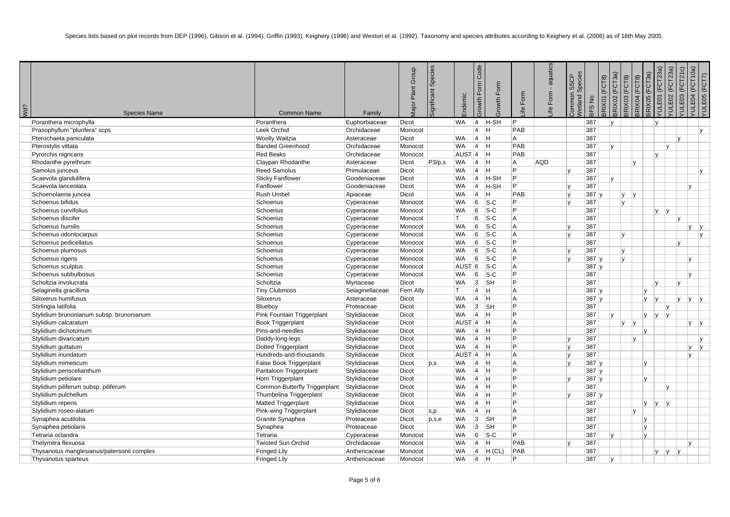| Wd? | <b>Species Name</b>                        | <b>Common Name</b>            | Family          | Plant Group<br>Aajor I | Species<br>ignificant | ndemic            | Code<br>Form<br>Growth | rowth Form | Form<br>$\overline{e}$ | aquatics<br>$\blacksquare$<br>ife Form | Species<br>SSCP<br>ommon<br>etland | RIX01 (FCT8)<br>$\frac{\circ}{\sim}$<br>3FS | 3RIX02 (FCT3a) | RIX03 (FCT8) | 3RIX04 (FCT8) | /ULE01 (FCT23a)<br>$\mathbb{R}$<br><b>FCT</b><br>BRIX05 | 'ULE02 (FCT23a) | (FCT21c)<br>E03<br>$\exists$ | /ULE04 (FCT10a)<br>(FCT7)<br>YULE05 |
|-----|--------------------------------------------|-------------------------------|-----------------|------------------------|-----------------------|-------------------|------------------------|------------|------------------------|----------------------------------------|------------------------------------|---------------------------------------------|----------------|--------------|---------------|---------------------------------------------------------|-----------------|------------------------------|-------------------------------------|
|     | Poranthera microphylla                     | Poranthera                    | Euphorbiaceae   | Dicot                  |                       | <b>WA</b>         | $\vert 4 \vert$        | H-SH       | IP.                    |                                        |                                    | 387                                         | $\mathsf{v}$   |              |               | ۱v                                                      |                 |                              |                                     |
|     | Prasophyllum "plurifera" scps              | Leek Orchid                   | Orchidaceae     | Monocot                |                       |                   | $\vert$ 4              | H          | PAB                    |                                        |                                    | 387                                         |                |              |               |                                                         |                 |                              | lv.                                 |
|     | Pterochaeta paniculata                     | <b>Woolly Waitzia</b>         | Asteraceae      | Dicot                  |                       | <b>WA</b>         | $ 4\rangle$            | H          | l A                    |                                        |                                    | 387                                         |                |              |               |                                                         |                 | lv                           |                                     |
|     | Pterostylis vittata                        | <b>Banded Greenhood</b>       | Orchidaceae     | Monocot                |                       | <b>WA</b>         | $\vert$ 4              | H          | PAB                    |                                        |                                    | 387                                         | <b>V</b>       |              |               |                                                         | v               |                              |                                     |
|     | Pyrorchis nigricans                        | <b>Red Beaks</b>              | Orchidaceae     | Monocot                |                       | AUST <sup>4</sup> |                        | <b>H</b>   | PAB                    |                                        |                                    | 387                                         |                |              |               | Iv.                                                     |                 |                              |                                     |
|     | Rhodanthe pyrethrum                        | Claypan Rhodanthe             | Asteraceae      | Dicot                  | P3/p,s                | <b>WA</b>         | $\vert 4 \vert$        | H          | A                      | <b>AQD</b>                             |                                    | 387                                         |                |              | lv.           |                                                         |                 |                              |                                     |
|     | Samolus junceus                            | <b>Reed Samolus</b>           | Primulaceae     | Dicot                  |                       | <b>WA</b>         | $\vert 4 \vert$        | Η          | IP.                    |                                        |                                    | 387                                         |                |              |               |                                                         |                 |                              | <b>y</b>                            |
|     | Scaevola glandulifera                      | <b>Sticky Fanflower</b>       | Goodeniaceae    | Dicot                  |                       | <b>WA</b>         | $\vert$ 4              | H-SH       | IP.                    |                                        |                                    | 387                                         | $\mathsf{v}$   |              |               |                                                         |                 |                              |                                     |
|     | Scaevola lanceolata                        | Fanflower                     | Goodeniaceae    | Dicot                  |                       | <b>WA</b>         | $ 4\rangle$            | H-SH       | IP.                    |                                        | $\mathsf{v}$                       | 387                                         |                |              |               |                                                         |                 | $\mathsf{v}$                 |                                     |
|     | Schoenolaena juncea                        | Rush Umbel                    | Apiaceae        | Dicot                  |                       | <b>WA</b>         | $\vert$ 4              | H          | PAB                    |                                        |                                    | 387                                         |                | V            | v             |                                                         |                 |                              |                                     |
|     | Schoenus bifidus                           | Schoenus                      | Cyperaceae      | Monocot                |                       | <b>WA</b>         | 6                      | $S-C$      | IP.                    |                                        |                                    | 387                                         |                | V            |               |                                                         |                 |                              |                                     |
|     | Schoenus curvifolius                       | Schoenus                      | Cyperaceae      | Monocot                |                       | <b>WA</b>         | 6                      | $S-C$      | IP.                    |                                        |                                    | 387                                         |                |              |               | $y \mid y$                                              |                 |                              |                                     |
|     | Schoenus discifer                          | Schoenus                      | Cyperaceae      | Monocot                |                       | IT.               | 6                      | $S-C$      | A                      |                                        |                                    | 387                                         |                |              |               |                                                         |                 | IV.                          |                                     |
|     | Schoenus humilis                           | Schoenus                      | Cyperaceae      | Monocot                |                       | <b>WA</b>         | 6                      | $S-C$      | A                      |                                        |                                    | 387                                         |                |              |               |                                                         |                 | $\mathsf{v}$                 | y                                   |
|     | Schoenus odontocarpus                      | Schoenus                      | Cyperaceae      | Monocot                |                       | <b>WA</b>         | 6                      | $S-C$      | A                      |                                        |                                    | 387                                         |                | V            |               |                                                         |                 |                              | y                                   |
|     | Schoenus pedicellatus                      | Schoenus                      | Cyperaceae      | Monocot                |                       | <b>WA</b>         | 6                      | $S-C$      | <b>P</b>               |                                        |                                    | 387                                         |                |              |               |                                                         |                 | lv.                          |                                     |
|     | Schoenus plumosus                          | Schoenus                      | Cyperaceae      | Monocot                |                       | <b>WA</b>         | 6                      | $S-C$      | A                      |                                        | $\mathsf{v}$                       | 387                                         |                | y            |               |                                                         |                 |                              |                                     |
|     | Schoenus rigens                            | Schoenus                      | Cyperaceae      | Monocot                |                       | <b>WA</b>         | 6                      | $S-C$      | IP.                    |                                        |                                    | 387 y                                       |                | V            |               |                                                         |                 | v                            |                                     |
|     | Schoenus sculptus                          | Schoenus                      | Cyperaceae      | Monocot                |                       | AUST              | 6                      | $S-C$      | A                      |                                        |                                    | 387 y                                       |                |              |               |                                                         |                 |                              |                                     |
|     | Schoenus subbulbosus                       | Schoenus                      | Cyperaceae      | Monocot                |                       | <b>WA</b>         | 6                      | $S-C$      | Þ                      |                                        |                                    | 387                                         |                |              |               |                                                         |                 | $\mathsf{v}$                 |                                     |
|     | Scholtzia involucrata                      | Scholtzia                     | Myrtaceae       | Dicot                  |                       | <b>WA</b>         | 3                      | <b>SH</b>  | <b>P</b>               |                                        |                                    | 387                                         |                |              |               | IV.                                                     |                 | ١v                           |                                     |
|     | Selaginella gracillima                     | <b>Tiny Clubmoss</b>          | Selaginellaceae | Fern Ally              |                       | lT.               | $\overline{4}$         | H          | A                      |                                        |                                    | 387 v                                       |                |              | l v           |                                                         |                 |                              |                                     |
|     | Siloxerus humifusus                        | Siloxerus                     | Asteraceae      | Dicot                  |                       | <b>WA</b>         | $\vert$ 4              | H          | A                      |                                        |                                    | 387 v                                       |                |              | IV.           | v                                                       |                 | IV.                          | $V$ $V$                             |
|     | Stirlingia latifolia                       | Blueboy                       | Proteaceae      | Dicot                  |                       | <b>WA</b>         | 3                      | <b>SH</b>  | Þ                      |                                        |                                    | 387                                         |                |              |               |                                                         | ٧               |                              |                                     |
|     | Stylidium brunonianum subsp. brunonianum   | Pink Fountain Triggerplant    | Stylidiaceae    | Dicot                  |                       | <b>WA</b>         | $\vert$ 4              | H          | Þ                      |                                        |                                    | 387                                         | v              |              | ly.           | y                                                       |                 |                              |                                     |
|     | Stylidium calcaratum                       | <b>Book Triggerplant</b>      | Stylidiaceae    | Dicot                  |                       | $AUST$  4  H      |                        |            | A                      |                                        |                                    | 387                                         |                | y            | IV.           |                                                         |                 | <b>V</b>                     | y                                   |
|     | Stylidium dichotomum                       | Pins-and-needles              | Stylidiaceae    | Dicot                  |                       | <b>WA</b>         | $\vert$ 4              | <b>H</b>   | Þ                      |                                        |                                    | 387                                         |                |              | l v           |                                                         |                 |                              |                                     |
|     | Stylidium divaricatum                      | Daddy-long-legs               | Stylidiaceae    | <b>Dicot</b>           |                       | <b>WA</b>         | $ 4\rangle$            | <b>H</b>   | Þ                      |                                        |                                    | 387                                         |                |              | IV.           |                                                         |                 |                              | V                                   |
|     | Stylidium guttatum                         | Dotted Triggerplant           | Stylidiaceae    | Dicot                  |                       | <b>WA</b>         | $\vert$ 4              | <b>H</b>   | P                      |                                        |                                    | 387                                         |                |              |               |                                                         |                 | <b>y</b>                     | V                                   |
|     | Stylidium inundatum                        | Hundreds-and-thousands        | Stylidiaceae    | Dicot                  |                       | $AUST$  4  H      |                        |            | A                      |                                        | $\mathsf{v}$                       | 387                                         |                |              |               |                                                         |                 | v                            |                                     |
|     | Stylidium mimeticum                        | False Book Triggerplant       | Stylidiaceae    | Dicot                  | p,s                   | <b>WA</b>         | $\vert$ 4              | H          | A                      |                                        |                                    | 387 y                                       |                |              | l v           |                                                         |                 |                              |                                     |
|     | Stylidium periscelianthum                  | Pantaloon Triggerplant        | Stylidiaceae    | Dicot                  |                       | <b>WA</b>         | $ 4\rangle$            | <b>H</b>   | <b>P</b>               |                                        |                                    | 387 v                                       |                |              |               |                                                         |                 |                              |                                     |
|     | Stylidium petiolare                        | Horn Triggerplant             | Stylidiaceae    | Dicot                  |                       | <b>WA</b>         | $\vert 4 \vert$        | <b>H</b>   | P                      |                                        |                                    | 387 v                                       |                |              | Iv.           |                                                         |                 |                              |                                     |
|     | Stylidium piliferum subsp. piliferum       | Common Butterfly Triggerplant | Stylidiaceae    | Dicot                  |                       | <b>WA</b>         | $\vert$ 4              | <b>H</b>   | Þ                      |                                        |                                    | 387                                         |                |              |               |                                                         |                 |                              |                                     |
|     | Stylidium pulchellum                       | Thumbelina Triggerplant       | Stylidiaceae    | Dicot                  |                       | <b>WA</b>         | $\vert 4 \vert$        | H          | P                      |                                        | $\mathbf{v}$                       | 387 y                                       |                |              |               |                                                         |                 |                              |                                     |
|     | Stylidium repens                           | Matted Triggerplant           | Stylidiaceae    | Dicot                  |                       | <b>WA</b>         | $ 4\rangle$            | H          | IP.                    |                                        |                                    | 387                                         |                |              | l y           | V                                                       | ١v              |                              |                                     |
|     | Stylidium roseo-alatum                     | Pink-wing Triggerplant        | Stylidiaceae    | Dicot                  | s,p                   | <b>WA</b>         | $\vert$ 4              | H          | A                      |                                        |                                    | 387                                         |                |              | lv.           |                                                         |                 |                              |                                     |
|     | Synaphea acutiloba                         | Granite Synaphea              | Proteaceae      | Dicot                  | p,s,e                 | <b>WA</b>         | 3                      | <b>SH</b>  | <b>P</b>               |                                        |                                    | 387                                         |                |              | <b>V</b>      |                                                         |                 |                              |                                     |
|     | Synaphea petiolaris                        | Synaphea                      | Proteaceae      | Dicot                  |                       | <b>WA</b>         | 3                      | <b>SH</b>  | $\overline{P}$         |                                        |                                    | 387                                         |                |              | l y           |                                                         |                 |                              |                                     |
|     | Tetraria octandra                          | Tetraria                      | Cyperaceae      | Monocot                |                       | <b>WA</b>         | $ 6\rangle$            | $ S-C $    | P                      |                                        |                                    | 387                                         | $\mathsf{v}$   |              | lv.           |                                                         |                 |                              |                                     |
|     | Thelymitra flexuosa                        | <b>Twisted Sun Orchid</b>     | Orchidaceae     | Monocot                |                       | <b>WA</b>         | $\vert$ 4              | H          | PAB                    |                                        |                                    | 387                                         |                |              |               |                                                         |                 | $\mathbf{v}$                 |                                     |
|     | Thysanotus manglesianus/patersonii complex | <b>Fringed Lily</b>           | Anthericaceae   | Monocot                |                       | <b>WA</b>         | $\vert 4 \vert$        | $H$ (CL)   | PAB                    |                                        |                                    | 387                                         |                |              |               | IV.                                                     | V               | $\mathsf{v}$                 |                                     |
|     | Thysanotus sparteus                        | Fringed Lily                  | Anthericaceae   | Monocot                |                       | <b>WA</b>         | $\vert 4 \vert$        | H          | D                      |                                        |                                    | 387                                         | v              |              |               |                                                         |                 |                              |                                     |